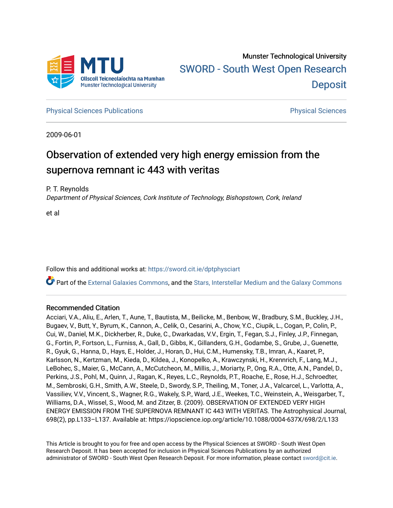

**[Physical Sciences Publications](https://sword.cit.ie/dptphysciart) Provide Access Publications Physical Sciences** Physical Sciences

2009-06-01

# Observation of extended very high energy emission from the supernova remnant ic 443 with veritas

P. T. Reynolds

Department of Physical Sciences, Cork Institute of Technology, Bishopstown, Cork, Ireland

et al

Follow this and additional works at: [https://sword.cit.ie/dptphysciart](https://sword.cit.ie/dptphysciart?utm_source=sword.cit.ie%2Fdptphysciart%2F96&utm_medium=PDF&utm_campaign=PDFCoverPages)

Part of the [External Galaxies Commons](http://network.bepress.com/hgg/discipline/128?utm_source=sword.cit.ie%2Fdptphysciart%2F96&utm_medium=PDF&utm_campaign=PDFCoverPages), and the [Stars, Interstellar Medium and the Galaxy Commons](http://network.bepress.com/hgg/discipline/127?utm_source=sword.cit.ie%2Fdptphysciart%2F96&utm_medium=PDF&utm_campaign=PDFCoverPages) 

## Recommended Citation

Acciari, V.A., Aliu, E., Arlen, T., Aune, T., Bautista, M., Beilicke, M., Benbow, W., Bradbury, S.M., Buckley, J.H., Bugaev, V., Butt, Y., Byrum, K., Cannon, A., Celik, O., Cesarini, A., Chow, Y.C., Ciupik, L., Cogan, P., Colin, P., Cui, W., Daniel, M.K., Dickherber, R., Duke, C., Dwarkadas, V.V., Ergin, T., Fegan, S.J., Finley, J.P., Finnegan, G., Fortin, P., Fortson, L., Furniss, A., Gall, D., Gibbs, K., Gillanders, G.H., Godambe, S., Grube, J., Guenette, R., Gyuk, G., Hanna, D., Hays, E., Holder, J., Horan, D., Hui, C.M., Humensky, T.B., Imran, A., Kaaret, P., Karlsson, N., Kertzman, M., Kieda, D., Kildea, J., Konopelko, A., Krawczynski, H., Krennrich, F., Lang, M.J., LeBohec, S., Maier, G., McCann, A., McCutcheon, M., Millis, J., Moriarty, P., Ong, R.A., Otte, A.N., Pandel, D., Perkins, J.S., Pohl, M., Quinn, J., Ragan, K., Reyes, L.C., Reynolds, P.T., Roache, E., Rose, H.J., Schroedter, M., Sembroski, G.H., Smith, A.W., Steele, D., Swordy, S.P., Theiling, M., Toner, J.A., Valcarcel, L., Varlotta, A., Vassiliev, V.V., Vincent, S., Wagner, R.G., Wakely, S.P., Ward, J.E., Weekes, T.C., Weinstein, A., Weisgarber, T., Williams, D.A., Wissel, S., Wood, M. and Zitzer, B. (2009). OBSERVATION OF EXTENDED VERY HIGH ENERGY EMISSION FROM THE SUPERNOVA REMNANT IC 443 WITH VERITAS. The Astrophysical Journal, 698(2), pp.L133–L137. Available at: https://iopscience.iop.org/article/10.1088/0004-637X/698/2/L133

This Article is brought to you for free and open access by the Physical Sciences at SWORD - South West Open Research Deposit. It has been accepted for inclusion in Physical Sciences Publications by an authorized administrator of SWORD - South West Open Research Deposit. For more information, please contact [sword@cit.ie.](mailto:sword@cit.ie)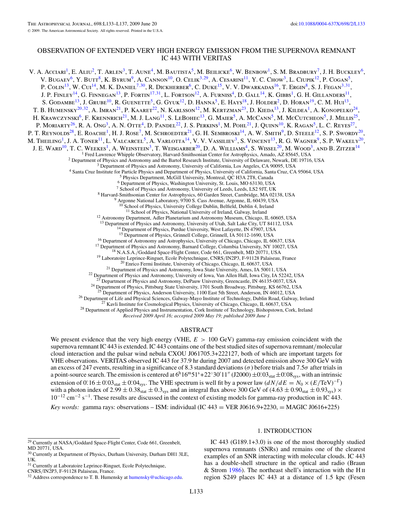## OBSERVATION OF EXTENDED VERY HIGH ENERGY EMISSION FROM THE SUPERNOVA REMNANT IC 443 WITH VERITAS

V. A. Acciari<sup>1</sup>, E. Aliu<sup>2</sup>, T. Arlen<sup>3</sup>, T. Aune<sup>4</sup>, M. Bautista<sup>5</sup>, M. Beilicke<sup>6</sup>, W. Benbow<sup>1</sup>, S. M. Bradbury<sup>7</sup>, J. H. Buckley<sup>6</sup>, V. BUGAEV<sup>6</sup>, Y. BUTT<sup>8</sup>, K. BYRUM<sup>9</sup>, A. CANNON<sup>10</sup>, O. CELIK<sup>3,29</sup>, A. CESARINI<sup>11</sup>, Y. C. CHOW<sup>3</sup>, L. CIUPIK<sup>12</sup>, P. COGAN<sup>5</sup>, P. Colin<sup>13</sup>, W. Cui<sup>14</sup>, M. K. Daniel<sup>7,30</sup>, R. Dickherber<sup>6</sup>, C. Duke<sup>15</sup>, V. V. Dwarkadas<sup>16</sup>, T. Ergin<sup>8</sup>, S. J. Fegan<sup>3,31</sup>, J. P. Finley<sup>14</sup>, G. Finnegan<sup>13</sup>, P. Fortin<sup>17,31</sup>, L. Fortson<sup>12</sup>, A. Furniss<sup>4</sup>, D. Gall<sup>14</sup>, K. Gibbs<sup>1</sup>, G. H. Gillanders<sup>11</sup>, S. GODAMBE<sup>13</sup>, J. GRUBE<sup>10</sup>, R. GUENETTE<sup>5</sup>, G. GYUK<sup>12</sup>, D. HANNA<sup>5</sup>, E. HAYS<sup>18</sup>, J. HOLDER<sup>2</sup>, D. HORAN<sup>19</sup>, C. M. HUI<sup>13</sup>, T. B. HUMENSKY<sup>20,32</sup>, A. IMRAN<sup>21</sup>, P. KAARET<sup>22</sup>, N. KARLSSON<sup>12</sup>, M. KERTZMAN<sup>23</sup>, D. KIEDA<sup>13</sup>, J. KILDEA<sup>1</sup>, A. KONOPELKO<sup>24</sup>, H. KRAWCZYNSKI<sup>6</sup>, F. KRENNRICH<sup>21</sup>, M. J. LANG<sup>11</sup>, S. LEBOHEC<sup>13</sup>, G. MAIER<sup>5</sup>, A. McCANN<sup>5</sup>, M. McCutcheon<sup>5</sup>, J. Millis<sup>25</sup>, P. Moriarty<sup>26</sup>, R. A. Ong<sup>3</sup>, A. N. Otte<sup>4</sup>, D. Pandel<sup>22</sup>, J. S. Perkins<sup>1</sup>, M. Pohl<sup>21</sup>, J. Quinn<sup>10</sup>, K. Ragan<sup>5</sup>, L. C. Reyes<sup>27</sup>, P. T. Reynolds<sup>28</sup>, E. Roache<sup>1</sup>, H. J. Rose<sup>7</sup>, M. Schroedter<sup>21</sup>, G. H. Sembroski<sup>14</sup>, A. W. Smith<sup>9</sup>, D. Steele<sup>12</sup>, S. P. Swordy<sup>20</sup>, M. THEILING<sup>1</sup>, J. A. TONER<sup>11</sup>, L. VALCARCEL<sup>5</sup>, A. VARLOTTA<sup>14</sup>, V. V. VASSILIEV<sup>3</sup>, S. VINCENT<sup>13</sup>, R. G. WAGNER<sup>9</sup>, S. P. WAKELY<sup>20</sup>, J. E. WARD<sup>10</sup>, T. C. WEEKES<sup>1</sup>, A. WEINSTEIN<sup>3</sup>, T. WEISGARBER<sup>20</sup>, D. A. WILLIAMS<sup>4</sup>, S. WISSEL<sup>20</sup>, M. WOOD<sup>3</sup>, AND B. ZITZER<sup>14</sup> <sup>1</sup> Fred Lawrence Whipple Observatory, Harvard-Smithsonian Center for Astrophysics, Amado, AZ 85645, USA<br>
<sup>2</sup> Department of Physics and Astronomy and the Bartol Research Institute, University of Delaware, Newark, DE 19716 School of Physics, University College Dublin, Belfield, Dublin 4, Ireland <sup>11</sup> School of Physics, National University of Ireland, Galway, Ireland <sup>12</sup> Astronomy Department, Adler Planetarium and Astronomy Museum, Chicago, IL 60605, USA <sup>13</sup> Department of Physics and Astronomy, University of Utah, Salt Lake City, UT 84112, USA <sup>14</sup> Department of Physics, Purdue University, West Lafayette, IN 47907, USA <sup>15</sup> Department of Physics, Grinnell College, Grinnell, IA 50112-1690, USA <sup>16</sup> Department of Astronomy and Astrophysics, University of Chicago, Chicago, IL 60637, USA<br>
<sup>17</sup> Department of Physics and Astronomy, Barnard College, Columbia University, NY 10027, USA<br>
<sup>18</sup> N.A.S.A./Goddard Space-Flig <sup>24</sup> Department of Physics, Pittsburg State University, 1701 South Broadway, Pittsburg, KS 66762, USA <sup>25</sup> Department of Physics, Anderson University, 1100 East 5th Street, Anderson, IN 46012, USA  $^{26}$  Department of Life and Physical Sciences, Galway-Mayo Institute of Technology, Dublin Road, Galway, Ireland  $^{27}$  Kavli Institute for Cosmological Physics, University of Chicago, Chicago, IL 60637, USA  $^{28}$  Depa

*Received 2009 April 16; accepted 2009 May 19; published 2009 June 1*

## ABSTRACT

We present evidence that the very high energy (VHE, *E >* 100 GeV) gamma-ray emission coincident with the supernova remnant IC 443 is extended. IC 443 contains one of the best studied sites of supernova remnant*/*molecular cloud interaction and the pulsar wind nebula CXOU J061705.3+222127, both of which are important targets for VHE observations. VERITAS observed IC 443 for 37.9 hr during 2007 and detected emission above 300 GeV with an excess of 247 events, resulting in a significance of 8.3 standard deviations (*σ*) before trials and 7.5*σ* after trials in a point-source search. The emission is centered at  $6^h16^m51^s+22^{\circ}30'11''$  (J2000)  $\pm 0^{\circ}03_{stat} \pm 0^{\circ}08_{sys}$ , with an intrinsic extension of  $0^{\circ}$  16 ±  $0^{\circ}$   $03_{stat}$  ±  $0^{\circ}$   $04_{sys}$ . The VHE spectrum is well fit by a power law  $(dN/dE = N_0 \times (E/\text{TeV})^{-1})$ with a photon index of 2.99  $\pm$  0.38stat  $\pm$  0.3sys and an integral flux above 300 GeV of (4.63  $\pm$  0.90stat  $\pm$  0.93sys)  $\times$ 10−<sup>12</sup> cm−<sup>2</sup> s−1. These results are discussed in the context of existing models for gamma-ray production in IC 443. *Key words:* gamma rays: observations – ISM: individual (IC  $443 = VER J0616.9+2230$ ,  $= MAGIC J0616+225$ )

## 1. INTRODUCTION

IC 443 (G189.1+3.0) is one of the most thoroughly studied supernova remnants (SNRs) and remains one of the clearest examples of an SNR interacting with molecular clouds. IC 443 has a double-shell structure in the optical and radio (Braun & Strom [1986\)](#page-5-0). The northeast shell's interaction with the H ii region S249 places IC 443 at a distance of 1*.*5 kpc (Fesen

<sup>29</sup> Currently at NASA*/*Goddard Space-Flight Center, Code 661, Greenbelt, MD 20771, USA.

<sup>&</sup>lt;sup>30</sup> Currently at Department of Physics, Durham University, Durham DH1 3LE, UK.

<sup>&</sup>lt;sup>31</sup> Currently at Laboratoire Leprince-Ringuet, Ecole Polytechnique,

CNRS*/*IN2P3, F-91128 Palaiseau, France.

<sup>&</sup>lt;sup>32</sup> Address correspondence to T. B. Humensky at [humensky@uchicago.edu.](mailto:humensky@uchicago.edu)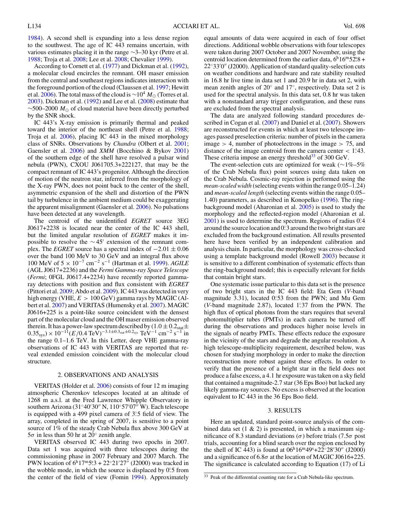[1984\)](#page-5-0). A second shell is expanding into a less dense region to the southwest. The age of IC 443 remains uncertain, with various estimates placing it in the range ∼3–30 kyr (Petre et al. [1988;](#page-5-0) Troja et al. [2008;](#page-5-0) Lee et al. [2008;](#page-5-0) Chevalier [1999\)](#page-5-0).

According to Cornett et al. [\(1977\)](#page-5-0) and Dickman et al. [\(1992\)](#page-5-0), a molecular cloud encircles the remnant. OH maser emission from the central and southeast regions indicates interaction with the foreground portion of the cloud (Claussen et al. [1997;](#page-5-0) Hewitt et al. [2006\)](#page-5-0). The total mass of the cloud is ~10<sup>4</sup>  $M_{\odot}$  (Torres et al. [2003\)](#page-5-0). Dickman et al. [\(1992\)](#page-5-0) and Lee et al. [\(2008\)](#page-5-0) estimate that ∼500–2000 *M* of cloud material have been directly perturbed by the SNR shock.

IC 443's X-ray emission is primarily thermal and peaked toward the interior of the northeast shell (Petre et al. [1988;](#page-5-0) Troja et al. [2006\)](#page-5-0), placing IC 443 in the mixed morphology class of SNRs. Observations by *Chandra* (Olbert et al. [2001;](#page-5-0) Gaensler et al. [2006\)](#page-5-0) and *XMM* (Bocchino & Bykov [2001\)](#page-5-0) of the southern edge of the shell have resolved a pulsar wind nebula (PWN), CXOU J061705.3+222127, that may be the compact remnant of IC 443's progenitor. Although the direction of motion of the neutron star, inferred from the morphology of the X-ray PWN, does not point back to the center of the shell, asymmetric expansion of the shell and distortion of the PWN tail by turbulence in the ambient medium could be exaggerating the apparent misalignment (Gaensler et al. [2006\)](#page-5-0). No pulsations have been detected at any wavelength.

The centroid of the unidentified *EGRET* source 3EG J0617+2238 is located near the center of the IC 443 shell, but the limited angular resolution of *EGRET* makes it impossible to resolve the  $\sim$ 45' extension of the remnant complex. The *EGRET* source has a spectral index of  $-2.01 \pm 0.06$ over the band 100 MeV to 30 GeV and an integral flux above 100 MeV of 5 <sup>×</sup> <sup>10</sup>−<sup>7</sup> cm−<sup>2</sup> <sup>s</sup>−<sup>1</sup> (Hartman et al. [1999\)](#page-5-0). *AGILE* (AGL J0617+2236) and the *Fermi Gamma-ray Space Telescope* (*Fermi*; 0FGL J0617.4+2234) have recently reported gammaray detections with position and flux consistent with *EGRET* (Pittori et al. [2009;](#page-5-0) Abdo et al. [2009\)](#page-4-0). IC 443 was detected in very high energy (VHE, *E >* 100 GeV) gamma rays by MAGIC (Albert et al. [2007\)](#page-4-0) and VERITAS (Humensky et al. [2007\)](#page-5-0). MAGIC J0616+225 is a point-like source coincident with the densest part of the molecular cloud and the OH maser emission observed therein. It has a power-law spectrum described by  $(1.0 \pm 0.2<sub>stat</sub> \pm 1)$  $(0.35<sub>sys</sub>) \times 10<sup>-11</sup>(E/0.4 \text{ TeV})<sup>-3.1\pm0.3<sub>stat</sub> \pm0.2<sub>sys</sub> \text{ TeV}<sup>-1</sup> \text{ cm}<sup>-2</sup> \text{s}<sup>-1</sup> \text{ in}</sup>$ the range 0*.*1–1*.*6 TeV. In this Letter, deep VHE gamma-ray observations of IC 443 with VERITAS are reported that reveal extended emission coincident with the molecular cloud structure.

### 2. OBSERVATIONS AND ANALYSIS

VERITAS (Holder et al. [2006\)](#page-5-0) consists of four 12 m imaging atmospheric Cherenkov telescopes located at an altitude of 1268 m a.s.l. at the Fred Lawrence Whipple Observatory in southern Arizona (31°40′30″ N, 110°57′07″ W). Each telescope is equipped with a 499 pixel camera of 3°.5 field of view. The array, completed in the spring of 2007, is sensitive to a point source of 1% of the steady Crab Nebula flux above 300 GeV at  $5\sigma$  in less than 50 hr at 20 $\degree$  zenith angle.

VERITAS observed IC 443 during two epochs in 2007. Data set 1 was acquired with three telescopes during the commissioning phase in 2007 February and 2007 March. The PWN location of  $6^{\text{h}}17^{\text{m}}5^{\text{s}}3 + 22^{\circ}21'27''$  (J2000) was tracked in the wobble mode, in which the source is displaced by 0.5 from the center of the field of view (Fomin [1994\)](#page-5-0). Approximately

equal amounts of data were acquired in each of four offset directions. Additional wobble observations with four telescopes were taken during 2007 October and 2007 November, using the centroid location determined from the earlier data, 6<sup>h</sup>16<sup>m</sup>52<sup>*s*</sup>.8 + 22°33′0″ (J2000). Application of standard quality-selection cuts on weather conditions and hardware and rate stability resulted in 16.8 hr live time in data set 1 and 20.9 hr in data set 2, with mean zenith angles of 20◦ and 17◦, respectively. Data set 2 is used for the spectral analysis. In this data set, 0.8 hr was taken with a nonstandard array trigger configuration, and these runs are excluded from the spectral analysis.

The data are analyzed following standard procedures de-scribed in Cogan et al. [\(2007\)](#page-5-0) and Daniel et al. (2007). Showers are reconstructed for events in which at least two telescope images passed preselection criteria: number of pixels in the camera image *>* 4, number of photoelectrons in the image *>* 75, and distance of the image centroid from the camera center  $<$  1.43. These criteria impose an energy threshold<sup>33</sup> of 300 GeV.

The event-selection cuts are optimized for weak ( $\sim$ 1%–5% of the Crab Nebula flux) point sources using data taken on the Crab Nebula. Cosmic-ray rejection is performed using the *mean-scaled width* (selecting events within the range 0.05–1.24) and *mean-scaled length* (selecting events within the range 0.05– 1.40) parameters, as described in Konopelko [\(1996\)](#page-5-0). The ringbackground model (Aharonian et al. [2005\)](#page-4-0) is used to study the morphology and the reflected-region model (Aharonian et al. [2001\)](#page-4-0) is used to determine the spectrum. Regions of radius 0.<sup>2</sup>4 around the source location and 0.<sup>2</sup> around the two bright stars are excluded from the background estimation. All results presented here have been verified by an independent calibration and analysis chain. In particular, the morphology was cross-checked using a template background model (Rowell [2003\)](#page-5-0) because it is sensitive to a different combination of systematic effects than the ring-background model; this is especially relevant for fields that contain bright stars.

One systematic issue particular to this data set is the presence of two bright stars in the IC 443 field: Eta Gem (*V*-band magnitude 3.31), located 0.53 from the PWN; and Mu Gem (*V*-band magnitude 2.87), located 1.37 from the PWN. The high flux of optical photons from the stars requires that several photomultiplier tubes (PMTs) in each camera be turned off during the observations and produces higher noise levels in the signals of nearby PMTs. These effects reduce the exposure in the vicinity of the stars and degrade the angular resolution. A high telescope-multiplicity requirement, described below, was chosen for studying morphology in order to make the direction reconstruction more robust against these effects. In order to verify that the presence of a bright star in the field does not produce a false excess, a 4*.*1 hr exposure was taken on a sky field that contained a magnitude-2.7 star (36 Eps Boo) but lacked any likely gamma-ray sources. No excess is observed at the location equivalent to IC 443 in the 36 Eps Boo field.

#### 3. RESULTS

Here an updated, standard point-source analysis of the combined data set  $(1 \& 2)$  is presented, in which a maximum significance of 8.3 standard deviations (*σ*) before trials (7.5*σ* post trials, accounting for a blind search over the region enclosed by the shell of IC 443) is found at  $06<sup>h</sup>16<sup>m</sup>49<sup>s</sup>+22<sup>°</sup>28'30''$  (J2000) and a significance of 6.8*σ* at the location of MAGIC J0616+225. The significance is calculated according to Equation (17) of Li

<sup>&</sup>lt;sup>33</sup> Peak of the differential counting rate for a Crab Nebula-like spectrum.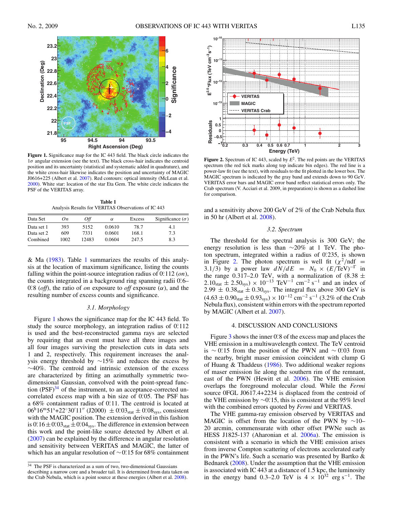<span id="page-3-0"></span>

**Figure 1.** Significance map for the IC 443 field. The black circle indicates the  $1\sigma$  angular extension (see the text). The black cross-hair indicates the centroid position and its uncertainty (statistical and systematic added in quadrature), and the white cross-hair likewise indicates the position and uncertainty of MAGIC J0616+225 (Albert et al. [2007\)](#page-4-0). Red contours: optical intensity (McLean et al. [2000\)](#page-5-0). White star: location of the star Eta Gem. The white circle indicates the PSF of the VERITAS array.

**Table 1** Analysis Results for VERITAS Observations of IC 443

| Data Set   | On   | Off   | $\alpha$ | Excess | Significance $(\sigma)$ |
|------------|------|-------|----------|--------|-------------------------|
| Data set 1 | 393  | 5152  | 0.0610   | 78.7   | 4.1                     |
| Data set 2 | 609  | 7331  | 0.0601   | 168.1  | 7.3                     |
| Combined   | 1002 | 12483 | 0.0604   | 247.5  | 8.3                     |

& Ma [\(1983\)](#page-5-0). Table 1 summarizes the results of this analysis at the location of maximum significance, listing the counts falling within the point-source integration radius of 0*.* ◦112 (*on*), the counts integrated in a background ring spanning radii 0.6– 0.8 (*off*), the ratio of *on* exposure to *off* exposure  $(\alpha)$ , and the resulting number of excess counts and significance.

#### *3.1. Morphology*

Figure 1 shows the significance map for the IC 443 field. To study the source morphology, an integration radius of 0.112 is used and the best-reconstructed gamma rays are selected by requiring that an event must have all three images and all four images surviving the preselection cuts in data sets 1 and 2, respectively. This requirement increases the analysis energy threshold by ∼15% and reduces the excess by ∼40%. The centroid and intrinsic extension of the excess are characterized by fitting an azimuthally symmetric twodimensional Gaussian, convolved with the point-spread function  $(PSF)^{34}$  of the instrument, to an acceptance-corrected uncorrelated excess map with a bin size of 0.05. The PSF has a 68% containment radius of 0.<sup>o</sup>.11. The centroid is located at  $06^{\text{h}}16^{\text{m}}51^{\text{s}}+22^{\circ}30'11''$  (J2000)  $\pm 0.03_{\text{stat}} \pm 0.08_{\text{sys}}$ , consistent with the MAGIC position. The extension derived in this fashion is  $0^{\circ}$  16 ±  $0^{\circ}$  03<sub>stat</sub> ± 0.04<sub>sys</sub>. The difference in extension between this work and the point-like source detected by Albert et al. [\(2007\)](#page-4-0) can be explained by the difference in angular resolution and sensitivity between VERITAS and MAGIC, the latter of which has an angular resolution of ∼0*.* ◦15 for 68% containment



**Figure 2.** Spectrum of IC 443, scaled by *E*2. The red points are the VERITAS spectrum (the red tick marks along top indicate bin edges). The red line is a power-law fit (see the text), with residuals to the fit plotted in the lower box. The MAGIC spectrum is indicated by the gray band and extends down to 90 GeV. VERITAS error bars and MAGIC error band reflect statistical errors only. The Crab spectrum (V. Acciari et al. 2009, in preparation) is shown as a dashed line for comparison.

and a sensitivity above 200 GeV of 2% of the Crab Nebula flux in 50 hr (Albert et al. [2008\)](#page-5-0).

## *3.2. Spectrum*

The threshold for the spectral analysis is 300 GeV; the energy resolution is less than ∼20% at 1 TeV. The photon spectrum, integrated within a radius of 0.235, is shown in Figure 2. The photon spectrum is well fit  $(\chi^2/\text{ndf})$ 3.1/3) by a power law  $dN/dE = N_0 \times (E/\text{TeV})^{-\Gamma}$  in the range 0.317–2.0 TeV, with a normalization of  $(8.38 \pm$  $2.10<sub>stat</sub> \pm 2.50<sub>sys</sub> \times 10<sup>-13</sup> TeV<sup>-1</sup> cm<sup>-2</sup> s<sup>-1</sup>$  and an index of  $2.99 \pm 0.38_{stat} \pm 0.30_{sys}$ . The integral flux above 300 GeV is  $(4.63 \pm 0.90<sub>stat</sub> \pm 0.93<sub>sys</sub>) \times 10<sup>-12</sup>$  cm<sup>-2</sup> s<sup>-1</sup> (3.2% of the Crab Nebula flux), consistent within errors with the spectrum reported by MAGIC (Albert et al. [2007\)](#page-4-0).

#### 4. DISCUSSION AND CONCLUSIONS

Figure [3](#page-4-0) shows the inner 0.<sup>8</sup> of the excess map and places the VHE emission in a multiwavelength context. The TeV centroid is ∼ 0.<sup>o</sup> 15 from the position of the PWN and ∼ 0.03 from the nearby, bright maser emission coincident with clump G of Huang & Thaddeus [\(1986\)](#page-5-0). Two additional weaker regions of maser emission lie along the southern rim of the remnant, east of the PWN (Hewitt et al. [2006\)](#page-5-0). The VHE emission overlaps the foreground molecular cloud. While the *Fermi* source 0FGL J0617.4+2234 is displaced from the centroid of the VHE emission by ∼0.<sup>2</sup> 15, this is consistent at the 95% level with the combined errors quoted by *Fermi* and VERITAS.

The VHE gamma-ray emission observed by VERITAS and MAGIC is offset from the location of the PWN by  $\sim$ 10– 20 arcmin, commensurate with other offset PWNe such as HESS J1825-137 (Aharonian et al. [2006a\)](#page-4-0). The emission is consistent with a scenario in which the VHE emission arises from inverse Compton scattering of electrons accelerated early in the PWN's life. Such a scenario was presented by Bartko & Bednarek [\(2008\)](#page-5-0). Under the assumption that the VHE emission is associated with IC 443 at a distance of 1*.*5 kpc, the luminosity in the energy band 0.3–2.0 TeV is  $4 \times 10^{32}$  erg s<sup>-1</sup>. The

<sup>&</sup>lt;sup>34</sup> The PSF is characterized as a sum of two, two-dimensional Gaussians describing a narrow core and a broader tail. It is determined from data taken on the Crab Nebula, which is a point source at these energies (Albert et al. [2008\)](#page-5-0).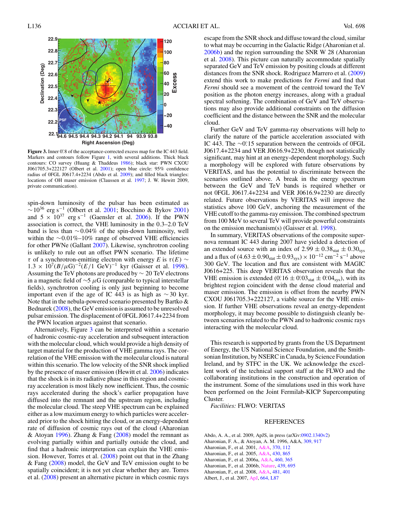<span id="page-4-0"></span>

Figure 3. Inner 0.8 of the acceptance-corrected excess map for the IC 443 field. Markers and contours follow Figure [1,](#page-3-0) with several additions. Thick black contours: CO survey (Huang & Thaddeus [1986\)](#page-5-0); black star: PWN CXOU J061705.3+222127 (Olbert et al. [2001\)](#page-5-0); open blue circle: 95% confidence radius of 0FGL J0617.4+2234 (Abdo et al. 2009); and filled black triangles: locations of OH maser emission (Claussen et al. [1997;](#page-5-0) J. W. Hewitt 2009, private communication).

spin-down luminosity of the pulsar has been estimated as  $~\sim$ 10<sup>36</sup> erg s<sup>-1</sup> (Olbert et al. [2001;](#page-5-0) Bocchino & Bykov [2001\)](#page-5-0) and  $5 \times 10^{37}$  erg s<sup>-1</sup> (Gaensler et al. [2006\)](#page-5-0). If the PWN association is correct, the VHE luminosity in the 0*.*3–2*.*0 TeV band is less than ∼0*.*04% of the spin-down luminosity, well within the ∼0*.*01%–10% range of observed VHE efficiencies for other PWNe (Gallant [2007\)](#page-5-0). Likewise, synchrotron cooling is unlikely to rule out an offset PWN scenario. The lifetime *τ* of a synchrotron-emitting electron with energy *E* is  $τ(E)$  ~  $1.3 \times 10^{7} (B/\mu\text{G})^{-2} (E/1 \text{ GeV})^{-1}$  kyr (Gaisser et al. [1998\)](#page-5-0). Assuming the TeV photons are produced by  $\sim 20$  TeV electrons in a magnetic field of ∼5 *μ*G (comparable to typical interstellar fields), synchrotron cooling is only just beginning to become important even if the age of IC 443 is as high as  $\sim$  30 kyr. Note that in the nebula-powered scenario presented by Bartko & Bednarek [\(2008\)](#page-5-0), the GeV emission is assumed to be unresolved pulsar emission. The displacement of 0FGL J0617.4+2234 from the PWN location argues against that scenario.

Alternatively, Figure 3 can be interpreted within a scenario of hadronic cosmic-ray acceleration and subsequent interaction with the molecular cloud, which would provide a high density of target material for the production of VHE gamma rays. The correlation of the VHE emission with the molecular cloud is natural within this scenario. The low velocity of the SNR shock implied by the presence of maser emission (Hewitt et al. [2006\)](#page-5-0) indicates that the shock is in its radiative phase in this region and cosmicray acceleration is most likely now inefficient. Thus, the cosmic rays accelerated during the shock's earlier propagation have diffused into the remnant and the upstream region, including the molecular cloud. The steep VHE spectrum can be explained either as a low maximum energy to which particles were accelerated prior to the shock hitting the cloud, or an energy-dependent rate of diffusion of cosmic rays out of the cloud (Aharonian & Atoyan 1996). Zhang & Fang  $(2008)$  model the remnant as evolving partially within and partially outside the cloud, and find that a hadronic interpretation can explain the VHE emission. However, Torres et al. [\(2008\)](#page-5-0) point out that in the Zhang & Fang [\(2008\)](#page-5-0) model, the GeV and TeV emission ought to be spatially coincident; it is not yet clear whether they are. Torres et al. [\(2008\)](#page-5-0) present an alternative picture in which cosmic rays

escape from the SNR shock and diffuse toward the cloud, similar to what may be occurring in the Galactic Ridge (Aharonian et al. 2006b) and the region surrounding the SNR W 28 (Aharonian et al. 2008). This picture can naturally accommodate spatially separated GeV and TeV emission by positing clouds at different distances from the SNR shock. Rodriguez Marrero et al. [\(2009\)](#page-5-0) extend this work to make predictions for *Fermi* and find that *Fermi* should see a movement of the centroid toward the TeV position as the photon energy increases, along with a gradual spectral softening. The combination of GeV and TeV observations may also provide additional constraints on the diffusion coefficient and the distance between the SNR and the molecular cloud.

Further GeV and TeV gamma-ray observations will help to clarify the nature of the particle acceleration associated with IC 443. The ∼0<sup>0</sup>.15 separation between the centroids of 0FGL J0617.4+2234 and VER J0616.9+2230, though not statistically significant, may hint at an energy-dependent morphology. Such a morphology will be explored with future observations by VERITAS, and has the potential to discriminate between the scenarios outlined above. A break in the energy spectrum between the GeV and TeV bands is required whether or not 0FGL J0617.4+2234 and VER J0616.9+2230 are directly related. Future observations by VERITAS will improve the statistics above 100 GeV, anchoring the measurement of the VHE cutoff to the gamma-ray emission. The combined spectrum from 100 MeV to several TeV will provide powerful constraints on the emission mechanism(s) (Gaisser et al. [1998\)](#page-5-0).

In summary, VERITAS observations of the composite supernova remnant IC 443 during 2007 have yielded a detection of an extended source with an index of  $2.99 \pm 0.38_{stat} \pm 0.30_{sys}$ and a flux of  $(4.63 \pm 0.90<sub>stat</sub> \pm 0.93<sub>sys</sub>) \times 10<sup>-12</sup>$  cm<sup>-2</sup> s<sup>-1</sup> above 300 GeV. The location and flux are consistent with MAGIC J0616+225. This deep VERITAS observation reveals that the VHE emission is extended  $(0.16 \pm 0.03<sub>stat</sub> \pm 0.04<sub>sys</sub>)$ , with its brightest region coincident with the dense cloud material and maser emission. The emission is offset from the nearby PWN CXOU J061705.3+222127, a viable source for the VHE emission. If further VHE observations reveal an energy-dependent morphology, it may become possible to distinguish cleanly between scenarios related to the PWN and to hadronic cosmic rays interacting with the molecular cloud.

This research is supported by grants from the US Department of Energy, the US National Science Foundation, and the Smithsonian Institution, by NSERC in Canada, by Science Foundation Ireland, and by STFC in the UK. We acknowledge the excellent work of the technical support staff at the FLWO and the collaborating institutions in the construction and operation of the instrument. Some of the simulations used in this work have been performed on the Joint Fermilab-KICP Supercomputing Cluster.

*Facilities:* FLWO: VERITAS

#### REFERENCES

Abdo, A. A., et al. 2009, ApJS, in press (arXiv[:0902.1340v2\)](http://www.arxiv.org/abs/0902.1340v2) Aharonian, F. A., & Atoyan, A. M. 1996, A&A, [309, 917](http://adsabs.harvard.edu/cgi-bin/bib_query?1996A&A...309..917A) Aharonian, F., et al. 2001, [A&A,](http://dx.doi.org/10.1051/0004-6361:20010243) [370, 112](http://adsabs.harvard.edu/cgi-bin/bib_query?2001A&A...370..112A) Aharonian, F., et al. 2005, [A&A,](http://dx.doi.org/10.1051/0004-6361:20041853) [430, 865](http://adsabs.harvard.edu/cgi-bin/bib_query?2005A&A...430..865A) Aharonian, F., et al. 2006a, [A&A,](http://dx.doi.org/10.1051/0004-6361:20065546) [460, 365](http://adsabs.harvard.edu/cgi-bin/bib_query?2006A&A...460..365A) Aharonian, F., et al. 2006b, [Nature,](http://dx.doi.org/10.1038/nature04467) [439, 695](http://adsabs.harvard.edu/cgi-bin/bib_query?2006Natur.439..695A) Aharonian, F., et al. 2008, [A&A,](http://dx.doi.org/10.1051/0004-6361:20077765) [481, 401](http://adsabs.harvard.edu/cgi-bin/bib_query?2008A&A...481..401A) Albert, J., et al. 2007, [ApJ,](http://dx.doi.org/10.1086/520957) [664, L87](http://adsabs.harvard.edu/cgi-bin/bib_query?2007ApJ...664L..87A)